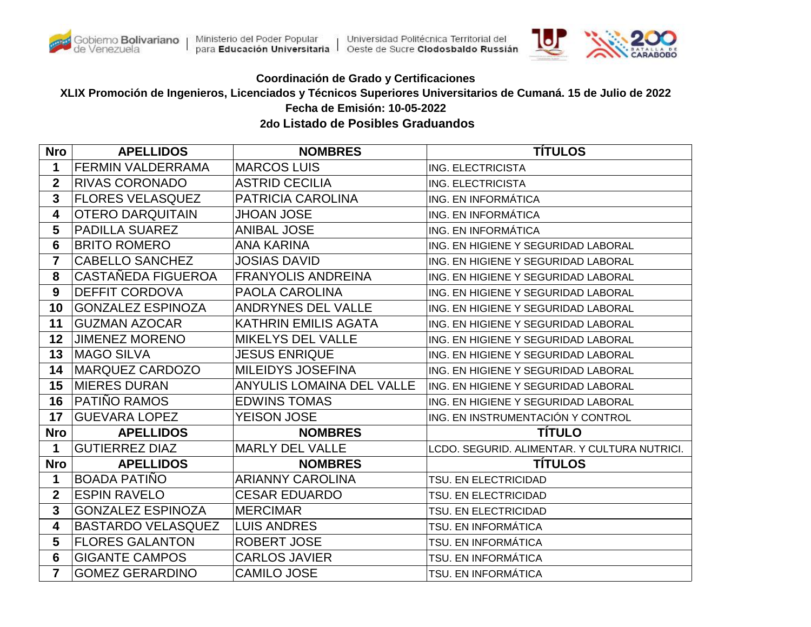



## **Coordinación de Grado y Certificaciones**

**XLIX Promoción de Ingenieros, Licenciados y Técnicos Superiores Universitarios de Cumaná. 15 de Julio de 2022 Fecha de Emisión: 10-05-2022**

 **2do Listado de Posibles Graduandos**

| <b>Nro</b>     | <b>APELLIDOS</b>          | <b>NOMBRES</b>                   | <b>TITULOS</b>                               |
|----------------|---------------------------|----------------------------------|----------------------------------------------|
| 1              | <b>FERMIN VALDERRAMA</b>  | <b>MARCOS LUIS</b>               | ING. ELECTRICISTA                            |
| $\mathbf{2}$   | <b>RIVAS CORONADO</b>     | <b>ASTRID CECILIA</b>            | ING. ELECTRICISTA                            |
| $\mathbf{3}$   | <b>FLORES VELASQUEZ</b>   | <b>PATRICIA CAROLINA</b>         | ING. EN INFORMÁTICA                          |
| 4              | <b>OTERO DARQUITAIN</b>   | <b>JHOAN JOSE</b>                | ING. EN INFORMÁTICA                          |
| 5              | <b>PADILLA SUAREZ</b>     | <b>ANIBAL JOSE</b>               | ING. EN INFORMÁTICA                          |
| 6              | <b>BRITO ROMERO</b>       | <b>ANA KARINA</b>                | ING. EN HIGIENE Y SEGURIDAD LABORAL          |
| $\overline{7}$ | <b>CABELLO SANCHEZ</b>    | <b>JOSIAS DAVID</b>              | ING. EN HIGIENE Y SEGURIDAD LABORAL          |
| 8              | CASTAÑEDA FIGUEROA        | <b>FRANYOLIS ANDREINA</b>        | ING. EN HIGIENE Y SEGURIDAD LABORAL          |
| 9              | <b>DEFFIT CORDOVA</b>     | <b>PAOLA CAROLINA</b>            | ING. EN HIGIENE Y SEGURIDAD LABORAL          |
| 10             | <b>GONZALEZ ESPINOZA</b>  | <b>ANDRYNES DEL VALLE</b>        | ING. EN HIGIENE Y SEGURIDAD LABORAL          |
| 11             | <b>GUZMAN AZOCAR</b>      | <b>KATHRIN EMILIS AGATA</b>      | ING. EN HIGIENE Y SEGURIDAD LABORAL          |
| 12             | <b>JIMENEZ MORENO</b>     | <b>MIKELYS DEL VALLE</b>         | ING. EN HIGIENE Y SEGURIDAD LABORAL          |
| 13             | MAGO SILVA                | <b>JESUS ENRIQUE</b>             | ING. EN HIGIENE Y SEGURIDAD LABORAL          |
| 14             | MARQUEZ CARDOZO           | <b>MILEIDYS JOSEFINA</b>         | ING. EN HIGIENE Y SEGURIDAD LABORAL          |
| 15             | <b>MIERES DURAN</b>       | <b>ANYULIS LOMAINA DEL VALLE</b> | ING. EN HIGIENE Y SEGURIDAD LABORAL          |
| 16             | PATIÑO RAMOS              | <b>EDWINS TOMAS</b>              | ING. EN HIGIENE Y SEGURIDAD LABORAL          |
| 17             | <b>GUEVARA LOPEZ</b>      | <b>YEISON JOSE</b>               | ING. EN INSTRUMENTACIÓN Y CONTROL            |
| <b>Nro</b>     | <b>APELLIDOS</b>          | <b>NOMBRES</b>                   | <b>TÍTULO</b>                                |
| 1              | <b>GUTIERREZ DIAZ</b>     | <b>MARLY DEL VALLE</b>           | LCDO. SEGURID. ALIMENTAR. Y CULTURA NUTRICI. |
| <b>Nro</b>     | <b>APELLIDOS</b>          | <b>NOMBRES</b>                   | <b>TÍTULOS</b>                               |
| 1              | <b>BOADA PATIÑO</b>       | <b>ARIANNY CAROLINA</b>          | TSU. EN ELECTRICIDAD                         |
| $\mathbf 2$    | <b>ESPIN RAVELO</b>       | <b>CESAR EDUARDO</b>             | TSU. EN ELECTRICIDAD                         |
| $\mathbf{3}$   | <b>GONZALEZ ESPINOZA</b>  | <b>MERCIMAR</b>                  | TSU. EN ELECTRICIDAD                         |
| 4              | <b>BASTARDO VELASQUEZ</b> | <b>LUIS ANDRES</b>               | TSU. EN INFORMÁTICA                          |
| 5              | <b>FLORES GALANTON</b>    | ROBERT JOSE                      | TSU. EN INFORMÁTICA                          |
| 6              | <b>GIGANTE CAMPOS</b>     | <b>CARLOS JAVIER</b>             | TSU. EN INFORMÁTICA                          |
| 7              | <b>GOMEZ GERARDINO</b>    | <b>CAMILO JOSE</b>               | TSU. EN INFORMÁTICA                          |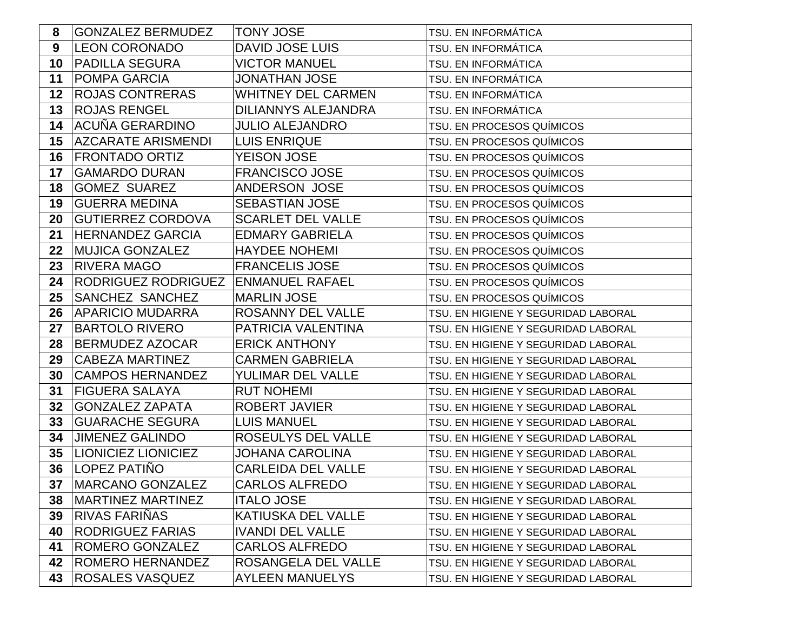| 8  | <b>GONZALEZ BERMUDEZ</b>   | <b>TONY JOSE</b>           | TSU. EN INFORMÁTICA                 |
|----|----------------------------|----------------------------|-------------------------------------|
| 9  | <b>LEON CORONADO</b>       | <b>DAVID JOSE LUIS</b>     | TSU. EN INFORMÁTICA                 |
| 10 | <b>PADILLA SEGURA</b>      | <b>VICTOR MANUEL</b>       | TSU. EN INFORMÁTICA                 |
| 11 | <b>POMPA GARCIA</b>        | <b>JONATHAN JOSE</b>       | TSU. EN INFORMÁTICA                 |
| 12 | <b>ROJAS CONTRERAS</b>     | <b>WHITNEY DEL CARMEN</b>  | TSU. EN INFORMÁTICA                 |
| 13 | <b>ROJAS RENGEL</b>        | <b>DILIANNYS ALEJANDRA</b> | TSU. EN INFORMÁTICA                 |
| 14 | ACUÑA GERARDINO            | <b>JULIO ALEJANDRO</b>     | TSU. EN PROCESOS QUÍMICOS           |
| 15 | <b>AZCARATE ARISMENDI</b>  | <b>LUIS ENRIQUE</b>        | TSU. EN PROCESOS QUÍMICOS           |
| 16 | <b>FRONTADO ORTIZ</b>      | <b>YEISON JOSE</b>         | TSU. EN PROCESOS QUÍMICOS           |
| 17 | <b>GAMARDO DURAN</b>       | <b>FRANCISCO JOSE</b>      | TSU. EN PROCESOS QUÍMICOS           |
| 18 | <b>GOMEZ SUAREZ</b>        | ANDERSON JOSE              | TSU. EN PROCESOS QUÍMICOS           |
| 19 | <b>GUERRA MEDINA</b>       | <b>SEBASTIAN JOSE</b>      | TSU. EN PROCESOS QUÍMICOS           |
| 20 | <b>GUTIERREZ CORDOVA</b>   | <b>SCARLET DEL VALLE</b>   | TSU. EN PROCESOS QUÍMICOS           |
| 21 | <b>HERNANDEZ GARCIA</b>    | <b>EDMARY GABRIELA</b>     | TSU. EN PROCESOS QUÍMICOS           |
| 22 | <b>MUJICA GONZALEZ</b>     | <b>HAYDEE NOHEMI</b>       | TSU. EN PROCESOS QUÍMICOS           |
| 23 | <b>RIVERA MAGO</b>         | <b>FRANCELIS JOSE</b>      | TSU. EN PROCESOS QUÍMICOS           |
| 24 | RODRIGUEZ RODRIGUEZ        | <b>ENMANUEL RAFAEL</b>     | TSU. EN PROCESOS QUÍMICOS           |
| 25 | <b>SANCHEZ SANCHEZ</b>     | <b>MARLIN JOSE</b>         | TSU. EN PROCESOS QUÍMICOS           |
| 26 | <b>APARICIO MUDARRA</b>    | ROSANNY DEL VALLE          | TSU. EN HIGIENE Y SEGURIDAD LABORAL |
| 27 | <b>BARTOLO RIVERO</b>      | PATRICIA VALENTINA         | TSU. EN HIGIENE Y SEGURIDAD LABORAL |
| 28 | <b>BERMUDEZ AZOCAR</b>     | <b>ERICK ANTHONY</b>       | TSU. EN HIGIENE Y SEGURIDAD LABORAL |
| 29 | <b>CABEZA MARTINEZ</b>     | <b>CARMEN GABRIELA</b>     | TSU. EN HIGIENE Y SEGURIDAD LABORAL |
| 30 | <b>CAMPOS HERNANDEZ</b>    | YULIMAR DEL VALLE          | TSU. EN HIGIENE Y SEGURIDAD LABORAL |
| 31 | <b>FIGUERA SALAYA</b>      | <b>RUT NOHEMI</b>          | TSU. EN HIGIENE Y SEGURIDAD LABORAL |
| 32 | <b>GONZALEZ ZAPATA</b>     | <b>ROBERT JAVIER</b>       | TSU. EN HIGIENE Y SEGURIDAD LABORAL |
| 33 | <b>GUARACHE SEGURA</b>     | <b>LUIS MANUEL</b>         | TSU. EN HIGIENE Y SEGURIDAD LABORAL |
| 34 | <b>JIMENEZ GALINDO</b>     | ROSEULYS DEL VALLE         | TSU. EN HIGIENE Y SEGURIDAD LABORAL |
| 35 | <b>LIONICIEZ LIONICIEZ</b> | <b>JOHANA CAROLINA</b>     | TSU. EN HIGIENE Y SEGURIDAD LABORAL |
| 36 | LOPEZ PATIÑO               | <b>CARLEIDA DEL VALLE</b>  | TSU. EN HIGIENE Y SEGURIDAD LABORAL |
|    | 37   MARCANO GONZALEZ      | <b>CARLOS ALFREDO</b>      | TSU. EN HIGIENE Y SEGURIDAD LABORAL |
| 38 | <b>MARTINEZ MARTINEZ</b>   | <b>ITALO JOSE</b>          | TSU. EN HIGIENE Y SEGURIDAD LABORAL |
| 39 | <b>RIVAS FARINAS</b>       | <b>KATIUSKA DEL VALLE</b>  | TSU. EN HIGIENE Y SEGURIDAD LABORAL |
| 40 | <b>RODRIGUEZ FARIAS</b>    | <b>IVANDI DEL VALLE</b>    | TSU. EN HIGIENE Y SEGURIDAD LABORAL |
| 41 | ROMERO GONZALEZ            | <b>CARLOS ALFREDO</b>      | TSU. EN HIGIENE Y SEGURIDAD LABORAL |
| 42 | <b>ROMERO HERNANDEZ</b>    | ROSANGELA DEL VALLE        | TSU. EN HIGIENE Y SEGURIDAD LABORAL |
| 43 | <b>ROSALES VASQUEZ</b>     | <b>AYLEEN MANUELYS</b>     | TSU. EN HIGIENE Y SEGURIDAD LABORAL |